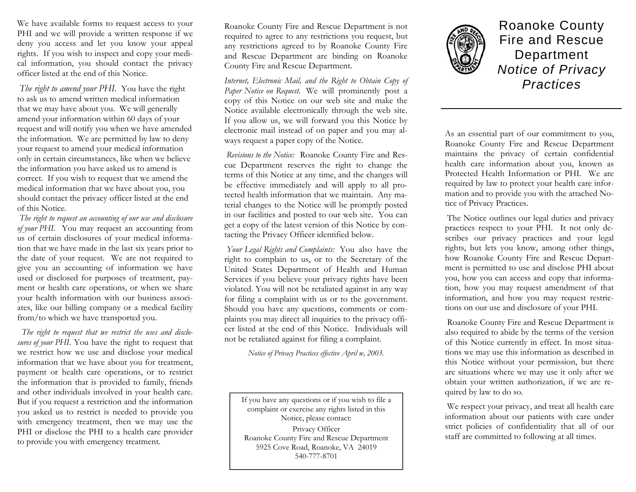We have available forms to request access to your PHI and we will provide a written response if we deny you access and let you know your appeal rights. If you wish to inspect and copy your medical information, you should contact the privacy officer listed at the end of this Notice.

*The right to amend your PHI*. You have the right to ask us to amend written medical information that we may have about you. We will generally amend your information within 60 days of your request and will notify you when we have amended the information. We are permitted by law to deny your request to amend your medical information only in certain circumstances, like when we believe the information you have asked us to amend is correct. If you wish to request that we amend the medical information that we have about you, you should contact the privacy officer listed at the end of this Notice.

*The right to request an accounting of our use and disclosure of your PHI*. You may request an accounting from us of certain disclosures of your medical information that we have made in the last six years prior to the date of your request. We are not required to give you an accounting of information we have used or disclosed for purposes of treatment, payment or health care operations, or when we share your health information with our business associates, like our billing company or a medical facility from/to which we have transported you.

*The right to request that we restrict the uses and disclosures of your PHI*. You have the right to request that we restrict how we use and disclose your medical information that we have about you for treatment, payment or health care operations, or to restrict the information that is provided to family, friends and other individuals involved in your health care. But if you request a restriction and the information you asked us to restrict is needed to provide you with emergency treatment, then we may use the PHI or disclose the PHI to a health care provider to provide you with emergency treatment.

Roanoke County Fire and Rescue Department is not required to agree to any restrictions you request, but any restrictions agreed to by Roanoke County Fire and Rescue Department are binding on Roanoke County Fire and Rescue Department.

*Internet, Electronic Mail, and the Right to Obtain Copy of Paper Notice on Request.* We will prominently post a copy of this Notice on our web site and make the Notice available electronically through the web site. If you allow us, we will forward you this Notice by electronic mail instead of on paper and you may always request a paper copy of the Notice.

*Revisions to the Notice:* Roanoke County Fire and Rescue Department reserves the right to change the terms of this Notice at any time, and the changes will be effective immediately and will apply to all protected health information that we maintain. Any material changes to the Notice will be promptly posted in our facilities and posted to our web site. You can get a copy of the latest version of this Notice by contacting the Privacy Officer identified below.

*Your Legal Rights and Complaints:* You also have the right to complain to us, or to the Secretary of the United States Department of Health and Human Services if you believe your privacy rights have been violated. You will not be retaliated against in any way for filing a complaint with us or to the government. Should you have any questions, comments or complaints you may direct all inquiries to the privacy officer listed at the end of this Notice. Individuals will not be retaliated against for filing a complaint.

*Notice of Privacy Practices effective April w, 2003.*

If you have any questions or if you wish to file a complaint or exercise any rights listed in this Notice, please contact: Privacy Officer Roanoke County Fire and Rescue Department 5925 Cove Road, Roanoke, VA 24019 540-777-8701



Roanoke County Fire and Rescue Department *Notice of Privacy Practices* 

As an essential part of our commitment to you, Roanoke County Fire and Rescue Department maintains the privacy of certain confidential health care information about you, known as Protected Health Information or PHI. We are required by law to protect your health care information and to provide you with the attached Notice of Privacy Practices.

 The Notice outlines our legal duties and privacy practices respect to your PHI. It not only describes our privacy practices and your legal rights, but lets you know, among other things, how Roanoke County Fire and Rescue Department is permitted to use and disclose PHI about you, how you can access and copy that information, how you may request amendment of that information, and how you may request restrictions on our use and disclosure of your PHI.

 Roanoke County Fire and Rescue Department is also required to abide by the terms of the version of this Notice currently in effect. In most situations we may use this information as described in this Notice without your permission, but there are situations where we may use it only after we obtain your written authorization, if we are required by law to do so.

We respect your privacy, and treat all health care information about our patients with care under strict policies of confidentiality that all of our staff are committed to following at all times.